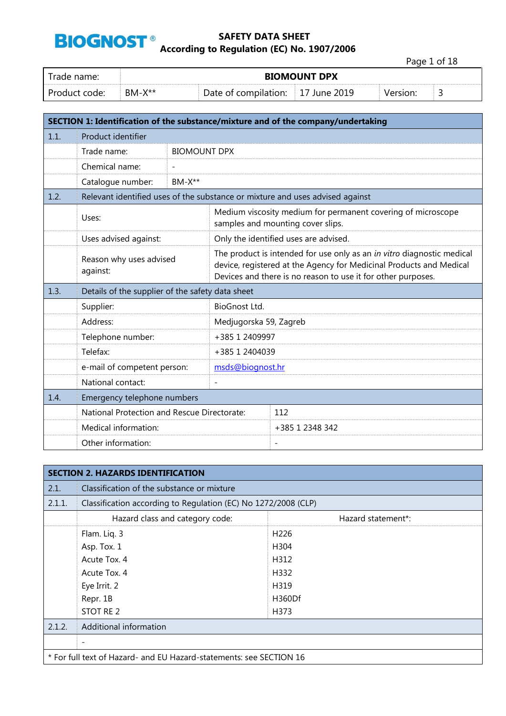

Page 1 of 18

| Trade name:     | <b>BIOMOUNT DPX</b> |                      |                 |          |  |
|-----------------|---------------------|----------------------|-----------------|----------|--|
| . Product code: | $BM-X**$            | Date of compilation: | June 2019<br>17 | Version: |  |

|      |                                                                               |                     |                                                                                                                                                                                                               | SECTION 1: Identification of the substance/mixture and of the company/undertaking                 |  |
|------|-------------------------------------------------------------------------------|---------------------|---------------------------------------------------------------------------------------------------------------------------------------------------------------------------------------------------------------|---------------------------------------------------------------------------------------------------|--|
| 1.1. | Product identifier                                                            |                     |                                                                                                                                                                                                               |                                                                                                   |  |
|      | Trade name:                                                                   | <b>BIOMOUNT DPX</b> |                                                                                                                                                                                                               |                                                                                                   |  |
|      | Chemical name:                                                                |                     |                                                                                                                                                                                                               |                                                                                                   |  |
|      | Catalogue number:                                                             | $BM-X**$            |                                                                                                                                                                                                               |                                                                                                   |  |
| 1.2. | Relevant identified uses of the substance or mixture and uses advised against |                     |                                                                                                                                                                                                               |                                                                                                   |  |
|      | Uses:                                                                         |                     |                                                                                                                                                                                                               | Medium viscosity medium for permanent covering of microscope<br>samples and mounting cover slips. |  |
|      | Uses advised against:                                                         |                     |                                                                                                                                                                                                               | Only the identified uses are advised.                                                             |  |
|      | Reason why uses advised<br>against:                                           |                     | The product is intended for use only as an in vitro diagnostic medical<br>device, registered at the Agency for Medicinal Products and Medical<br>Devices and there is no reason to use it for other purposes. |                                                                                                   |  |
| 1.3. | Details of the supplier of the safety data sheet                              |                     |                                                                                                                                                                                                               |                                                                                                   |  |
|      | Supplier:                                                                     |                     | BioGnost Ltd.                                                                                                                                                                                                 |                                                                                                   |  |
|      | Address:                                                                      |                     | Medjugorska 59, Zagreb                                                                                                                                                                                        |                                                                                                   |  |
|      | Telephone number:                                                             |                     | +385 1 2409997                                                                                                                                                                                                |                                                                                                   |  |
|      | Telefax:                                                                      |                     | +385 1 2404039                                                                                                                                                                                                |                                                                                                   |  |
|      | e-mail of competent person:                                                   |                     | msds@biognost.hr                                                                                                                                                                                              |                                                                                                   |  |
|      | National contact:                                                             |                     |                                                                                                                                                                                                               |                                                                                                   |  |
| 1.4. | Emergency telephone numbers                                                   |                     |                                                                                                                                                                                                               |                                                                                                   |  |
|      | National Protection and Rescue Directorate:                                   |                     |                                                                                                                                                                                                               | 112                                                                                               |  |
|      | Medical information:                                                          |                     |                                                                                                                                                                                                               | +385 1 2348 342                                                                                   |  |
|      | Other information:                                                            |                     |                                                                                                                                                                                                               | $\overline{\phantom{a}}$                                                                          |  |

|        | <b>SECTION 2. HAZARDS IDENTIFICATION</b>                            |                    |  |  |  |
|--------|---------------------------------------------------------------------|--------------------|--|--|--|
| 2.1.   | Classification of the substance or mixture                          |                    |  |  |  |
| 2.1.1. | Classification according to Regulation (EC) No 1272/2008 (CLP)      |                    |  |  |  |
|        | Hazard class and category code:                                     | Hazard statement*: |  |  |  |
|        | Flam. Liq. 3                                                        | H <sub>226</sub>   |  |  |  |
|        | Asp. Tox. 1                                                         | H304               |  |  |  |
|        | Acute Tox. 4                                                        | H312               |  |  |  |
|        | Acute Tox. 4                                                        | H332               |  |  |  |
|        | Eye Irrit. 2                                                        | H319               |  |  |  |
|        | Repr. 1B                                                            | H360Df             |  |  |  |
|        | STOT RE 2                                                           | H373               |  |  |  |
| 2.1.2. | Additional information                                              |                    |  |  |  |
|        |                                                                     |                    |  |  |  |
|        | * For full text of Hazard- and EU Hazard-statements: see SECTION 16 |                    |  |  |  |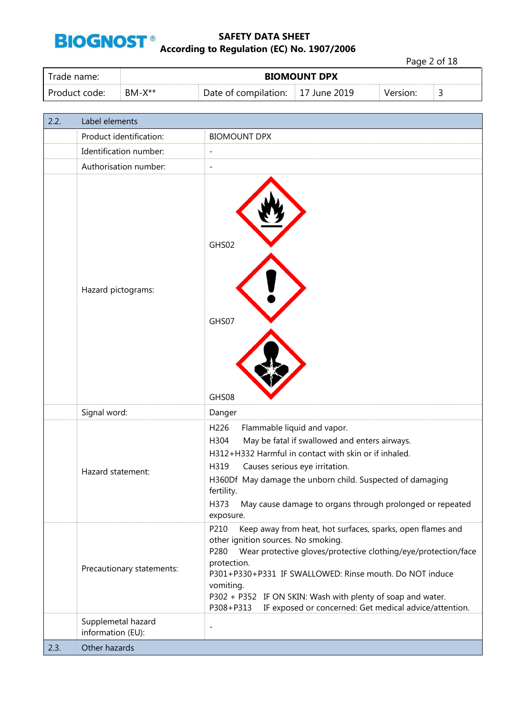

Page 2 of 18

| Trade name:   | <b>BIOMOUNT DPX</b> |                                   |  |          |   |
|---------------|---------------------|-----------------------------------|--|----------|---|
| Product code: | $BM-X^{**}$         | Date of compilation: 17 June 2019 |  | Version: | ٮ |

| 2.2. | Label elements                          |                                                                                                                                                                                                                                                                                                                                                                                                                  |
|------|-----------------------------------------|------------------------------------------------------------------------------------------------------------------------------------------------------------------------------------------------------------------------------------------------------------------------------------------------------------------------------------------------------------------------------------------------------------------|
|      | Product identification:                 | <b>BIOMOUNT DPX</b>                                                                                                                                                                                                                                                                                                                                                                                              |
|      | Identification number:                  | $\overline{\phantom{0}}$                                                                                                                                                                                                                                                                                                                                                                                         |
|      | Authorisation number:                   | $\overline{a}$                                                                                                                                                                                                                                                                                                                                                                                                   |
|      | Hazard pictograms:                      | GHS02<br>GHS07<br>GHS08                                                                                                                                                                                                                                                                                                                                                                                          |
|      | Signal word:                            | Danger                                                                                                                                                                                                                                                                                                                                                                                                           |
|      | Hazard statement:                       | H226<br>Flammable liquid and vapor.<br>May be fatal if swallowed and enters airways.<br>H304<br>H312+H332 Harmful in contact with skin or if inhaled.<br>H319<br>Causes serious eye irritation.<br>H360Df May damage the unborn child. Suspected of damaging<br>fertility.<br>H373<br>May cause damage to organs through prolonged or repeated<br>exposure.                                                      |
|      | Precautionary statements:               | P210<br>Keep away from heat, hot surfaces, sparks, open flames and<br>other ignition sources. No smoking.<br>Wear protective gloves/protective clothing/eye/protection/face<br>P280<br>protection.<br>P301+P330+P331 IF SWALLOWED: Rinse mouth. Do NOT induce<br>vomiting.<br>P302 + P352 IF ON SKIN: Wash with plenty of soap and water.<br>P308+P313<br>IF exposed or concerned: Get medical advice/attention. |
|      | Supplemetal hazard<br>information (EU): | $\overline{a}$                                                                                                                                                                                                                                                                                                                                                                                                   |
| 2.3. | Other hazards                           |                                                                                                                                                                                                                                                                                                                                                                                                                  |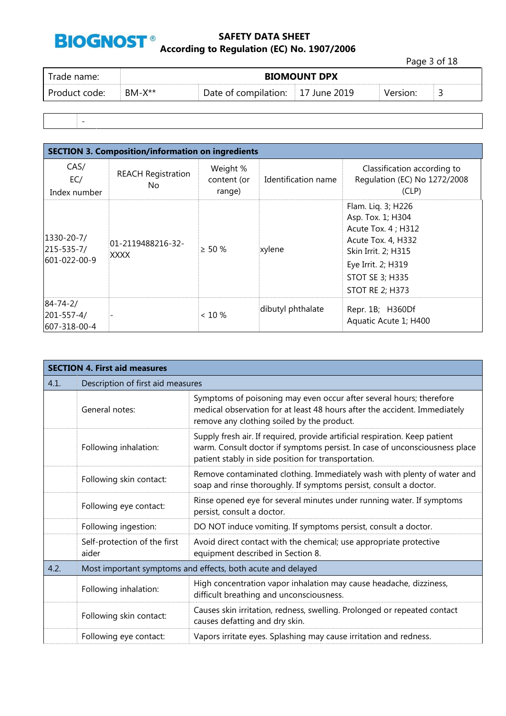

Page 3 of 18

| rade name:    | <b>BIOMOUNT DPX</b> |                      |                    |          |  |
|---------------|---------------------|----------------------|--------------------|----------|--|
| Product code: | $BM-X**$            | Date of compilation: | $\pm 17$ June 2019 | Version: |  |
|               |                     |                      |                    |          |  |

-

| <b>SECTION 3. Composition/information on ingredients</b> |                                  |                                   |                     |                                                                                                                                                                                       |  |  |
|----------------------------------------------------------|----------------------------------|-----------------------------------|---------------------|---------------------------------------------------------------------------------------------------------------------------------------------------------------------------------------|--|--|
| CAS/<br>EC/<br>Index number                              | <b>REACH Registration</b><br>No. | Weight %<br>content (or<br>range) | Identification name | Classification according to<br>Regulation (EC) No 1272/2008<br>(CLP)                                                                                                                  |  |  |
| 1330-20-7/<br>215-535-7/<br>601-022-00-9                 | 01-2119488216-32-<br>XXXX        | $> 50 \%$                         | xylene              | Flam. Liq. 3; H226<br>Asp. Tox. 1; H304<br>Acute Tox. 4 ; H312<br>Acute Tox. 4, H332<br>Skin Irrit. 2; H315<br>Eye Irrit. 2; H319<br><b>STOT SE 3; H335</b><br><b>STOT RE 2; H373</b> |  |  |
| $84 - 74 - 2/$<br>201-557-4/<br>607-318-00-4             |                                  | $< 10 \%$                         | dibutyl phthalate   | Repr. 1B; H360Df<br>Aquatic Acute 1; H400                                                                                                                                             |  |  |

|      | <b>SECTION 4. First aid measures</b>  |                                                                                                                                                                                                                  |  |  |  |
|------|---------------------------------------|------------------------------------------------------------------------------------------------------------------------------------------------------------------------------------------------------------------|--|--|--|
| 4.1. | Description of first aid measures     |                                                                                                                                                                                                                  |  |  |  |
|      | General notes:                        | Symptoms of poisoning may even occur after several hours; therefore<br>medical observation for at least 48 hours after the accident. Immediately<br>remove any clothing soiled by the product.                   |  |  |  |
|      | Following inhalation:                 | Supply fresh air. If required, provide artificial respiration. Keep patient<br>warm. Consult doctor if symptoms persist. In case of unconsciousness place<br>patient stably in side position for transportation. |  |  |  |
|      | Following skin contact:               | Remove contaminated clothing. Immediately wash with plenty of water and<br>soap and rinse thoroughly. If symptoms persist, consult a doctor.                                                                     |  |  |  |
|      | Following eye contact:                | Rinse opened eye for several minutes under running water. If symptoms<br>persist, consult a doctor.                                                                                                              |  |  |  |
|      | Following ingestion:                  | DO NOT induce vomiting. If symptoms persist, consult a doctor.                                                                                                                                                   |  |  |  |
|      | Self-protection of the first<br>aider | Avoid direct contact with the chemical; use appropriate protective<br>equipment described in Section 8.                                                                                                          |  |  |  |
| 4.2. |                                       | Most important symptoms and effects, both acute and delayed                                                                                                                                                      |  |  |  |
|      | Following inhalation:                 | High concentration vapor inhalation may cause headache, dizziness,<br>difficult breathing and unconsciousness.                                                                                                   |  |  |  |
|      | Following skin contact:               | Causes skin irritation, redness, swelling. Prolonged or repeated contact<br>causes defatting and dry skin.                                                                                                       |  |  |  |
|      | Following eye contact:                | Vapors irritate eyes. Splashing may cause irritation and redness.                                                                                                                                                |  |  |  |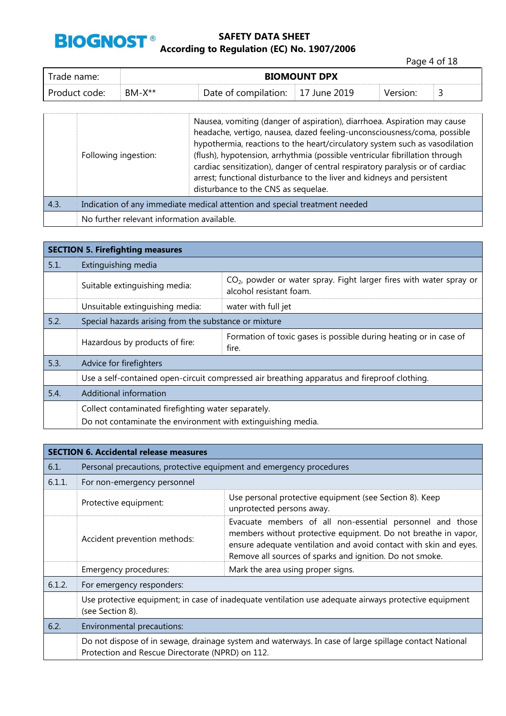

Page 4 of 18

| Trade name:   | <b>BIOMOUNT DPX</b> |                                   |  |          |  |
|---------------|---------------------|-----------------------------------|--|----------|--|
| Product code: | $BM-X**$            | Date of compilation: 17 June 2019 |  | Version: |  |

|      | Following ingestion:                                                       | Nausea, vomiting (danger of aspiration), diarrhoea. Aspiration may cause<br>headache, vertigo, nausea, dazed feeling-unconsciousness/coma, possible<br>hypothermia, reactions to the heart/circulatory system such as vasodilation<br>(flush), hypotension, arrhythmia (possible ventricular fibrillation through<br>cardiac sensitization), danger of central respiratory paralysis or of cardiac<br>arrest; functional disturbance to the liver and kidneys and persistent<br>disturbance to the CNS as sequelae. |  |
|------|----------------------------------------------------------------------------|---------------------------------------------------------------------------------------------------------------------------------------------------------------------------------------------------------------------------------------------------------------------------------------------------------------------------------------------------------------------------------------------------------------------------------------------------------------------------------------------------------------------|--|
| 4.3. | Indication of any immediate medical attention and special treatment needed |                                                                                                                                                                                                                                                                                                                                                                                                                                                                                                                     |  |
|      | No further relevant information available.                                 |                                                                                                                                                                                                                                                                                                                                                                                                                                                                                                                     |  |

| <b>SECTION 5. Firefighting measures</b> |                                                                                              |                                                                                                  |  |  |  |
|-----------------------------------------|----------------------------------------------------------------------------------------------|--------------------------------------------------------------------------------------------------|--|--|--|
| 5.1.                                    | Extinguishing media                                                                          |                                                                                                  |  |  |  |
|                                         | Suitable extinguishing media:                                                                | $CO2$ , powder or water spray. Fight larger fires with water spray or<br>alcohol resistant foam. |  |  |  |
|                                         | Unsuitable extinguishing media:                                                              | water with full jet                                                                              |  |  |  |
| 5.2.                                    | Special hazards arising from the substance or mixture                                        |                                                                                                  |  |  |  |
|                                         | Hazardous by products of fire:                                                               | Formation of toxic gases is possible during heating or in case of<br>fire.                       |  |  |  |
| 5.3.                                    | Advice for firefighters                                                                      |                                                                                                  |  |  |  |
|                                         | Use a self-contained open-circuit compressed air breathing apparatus and fireproof clothing. |                                                                                                  |  |  |  |
| 5.4.                                    | Additional information                                                                       |                                                                                                  |  |  |  |
|                                         | Collect contaminated firefighting water separately.                                          |                                                                                                  |  |  |  |
|                                         | Do not contaminate the environment with extinguishing media.                                 |                                                                                                  |  |  |  |

|        | <b>SECTION 6. Accidental release measures</b>                                                                             |                                                                                                                                                                                                                                                              |  |  |  |
|--------|---------------------------------------------------------------------------------------------------------------------------|--------------------------------------------------------------------------------------------------------------------------------------------------------------------------------------------------------------------------------------------------------------|--|--|--|
| 6.1.   | Personal precautions, protective equipment and emergency procedures                                                       |                                                                                                                                                                                                                                                              |  |  |  |
| 6.1.1. | For non-emergency personnel                                                                                               |                                                                                                                                                                                                                                                              |  |  |  |
|        | Protective equipment:                                                                                                     | Use personal protective equipment (see Section 8). Keep<br>unprotected persons away.                                                                                                                                                                         |  |  |  |
|        | Accident prevention methods:                                                                                              | Evacuate members of all non-essential personnel and those<br>members without protective equipment. Do not breathe in vapor,<br>ensure adequate ventilation and avoid contact with skin and eyes.<br>Remove all sources of sparks and ignition. Do not smoke. |  |  |  |
|        | Emergency procedures:                                                                                                     | Mark the area using proper signs.                                                                                                                                                                                                                            |  |  |  |
| 6.1.2. | For emergency responders:                                                                                                 |                                                                                                                                                                                                                                                              |  |  |  |
|        | Use protective equipment; in case of inadequate ventilation use adequate airways protective equipment<br>(see Section 8). |                                                                                                                                                                                                                                                              |  |  |  |
| 6.2.   | Environmental precautions:                                                                                                |                                                                                                                                                                                                                                                              |  |  |  |
|        | Protection and Rescue Directorate (NPRD) on 112.                                                                          | Do not dispose of in sewage, drainage system and waterways. In case of large spillage contact National                                                                                                                                                       |  |  |  |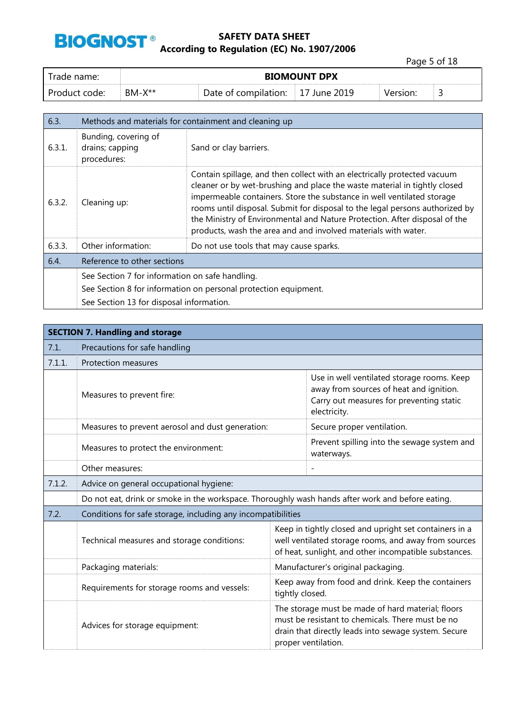

|               |              |                                   |                     | Page 5 of 18 |   |
|---------------|--------------|-----------------------------------|---------------------|--------------|---|
| Trade name:   |              |                                   | <b>BIOMOUNT DPX</b> |              |   |
| Product code: | $BM- X^{**}$ | Date of compilation: 17 June 2019 |                     | Version:     | ت |

| 6.3.   | Methods and materials for containment and cleaning up           |                                                                                                                                                                                                                                                                                                                                                                                                                                                                 |  |
|--------|-----------------------------------------------------------------|-----------------------------------------------------------------------------------------------------------------------------------------------------------------------------------------------------------------------------------------------------------------------------------------------------------------------------------------------------------------------------------------------------------------------------------------------------------------|--|
| 6.3.1. | Bunding, covering of<br>drains; capping<br>procedures:          | Sand or clay barriers.                                                                                                                                                                                                                                                                                                                                                                                                                                          |  |
| 6.3.2. | Cleaning up:                                                    | Contain spillage, and then collect with an electrically protected vacuum<br>cleaner or by wet-brushing and place the waste material in tightly closed<br>impermeable containers. Store the substance in well ventilated storage<br>rooms until disposal. Submit for disposal to the legal persons authorized by<br>the Ministry of Environmental and Nature Protection. After disposal of the<br>products, wash the area and and involved materials with water. |  |
| 6.3.3. | Other information:                                              | Do not use tools that may cause sparks.                                                                                                                                                                                                                                                                                                                                                                                                                         |  |
| 6.4.   | Reference to other sections                                     |                                                                                                                                                                                                                                                                                                                                                                                                                                                                 |  |
|        | See Section 7 for information on safe handling.                 |                                                                                                                                                                                                                                                                                                                                                                                                                                                                 |  |
|        | See Section 8 for information on personal protection equipment. |                                                                                                                                                                                                                                                                                                                                                                                                                                                                 |  |
|        | See Section 13 for disposal information.                        |                                                                                                                                                                                                                                                                                                                                                                                                                                                                 |  |

|        | <b>SECTION 7. Handling and storage</b>                                                           |                                                                                                                                                                                      |                                                                                                                                                   |  |  |
|--------|--------------------------------------------------------------------------------------------------|--------------------------------------------------------------------------------------------------------------------------------------------------------------------------------------|---------------------------------------------------------------------------------------------------------------------------------------------------|--|--|
| 7.1.   | Precautions for safe handling                                                                    |                                                                                                                                                                                      |                                                                                                                                                   |  |  |
| 7.1.1. | Protection measures                                                                              |                                                                                                                                                                                      |                                                                                                                                                   |  |  |
|        | Measures to prevent fire:                                                                        |                                                                                                                                                                                      | Use in well ventilated storage rooms. Keep<br>away from sources of heat and ignition.<br>Carry out measures for preventing static<br>electricity. |  |  |
|        | Measures to prevent aerosol and dust generation:                                                 |                                                                                                                                                                                      | Secure proper ventilation.                                                                                                                        |  |  |
|        | Measures to protect the environment:                                                             |                                                                                                                                                                                      | Prevent spilling into the sewage system and<br>waterways.                                                                                         |  |  |
|        | Other measures:                                                                                  |                                                                                                                                                                                      |                                                                                                                                                   |  |  |
| 7.1.2. | Advice on general occupational hygiene:                                                          |                                                                                                                                                                                      |                                                                                                                                                   |  |  |
|        | Do not eat, drink or smoke in the workspace. Thoroughly wash hands after work and before eating. |                                                                                                                                                                                      |                                                                                                                                                   |  |  |
| 7.2.   | Conditions for safe storage, including any incompatibilities                                     |                                                                                                                                                                                      |                                                                                                                                                   |  |  |
|        | Technical measures and storage conditions:                                                       | Keep in tightly closed and upright set containers in a<br>well ventilated storage rooms, and away from sources<br>of heat, sunlight, and other incompatible substances.              |                                                                                                                                                   |  |  |
|        | Packaging materials:                                                                             |                                                                                                                                                                                      | Manufacturer's original packaging.                                                                                                                |  |  |
|        | Requirements for storage rooms and vessels:                                                      | Keep away from food and drink. Keep the containers<br>tightly closed.                                                                                                                |                                                                                                                                                   |  |  |
|        | Advices for storage equipment:                                                                   | The storage must be made of hard material; floors<br>must be resistant to chemicals. There must be no<br>drain that directly leads into sewage system. Secure<br>proper ventilation. |                                                                                                                                                   |  |  |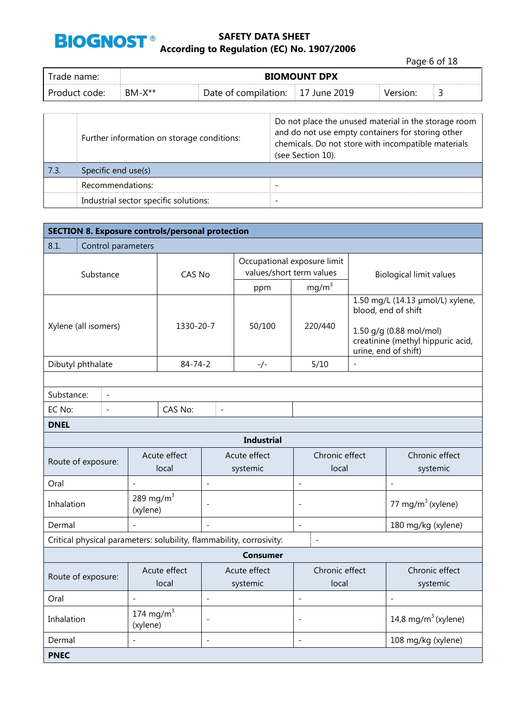

|               |              |                                   |                     |          | Page 6 of 18 |  |
|---------------|--------------|-----------------------------------|---------------------|----------|--------------|--|
| Trade name:   |              |                                   | <b>BIOMOUNT DPX</b> |          |              |  |
| Product code: | $BM- X^{**}$ | Date of compilation: 17 June 2019 |                     | Version: |              |  |
|               |              |                                   |                     |          |              |  |

|      | Further information on storage conditions: | Do not place the unused material in the storage room<br>and do not use empty containers for storing other<br>chemicals. Do not store with incompatible materials<br>(see Section 10). |
|------|--------------------------------------------|---------------------------------------------------------------------------------------------------------------------------------------------------------------------------------------|
| 7.3. | Specific end use(s)                        |                                                                                                                                                                                       |
|      | Recommendations:                           |                                                                                                                                                                                       |
|      | Industrial sector specific solutions:      |                                                                                                                                                                                       |

| <b>SECTION 8. Exposure controls/personal protection</b>              |                                  |                       |                          |                                                         |                          |                                                                                                                                                 |                                 |
|----------------------------------------------------------------------|----------------------------------|-----------------------|--------------------------|---------------------------------------------------------|--------------------------|-------------------------------------------------------------------------------------------------------------------------------------------------|---------------------------------|
| 8.1.<br>Control parameters                                           |                                  |                       |                          |                                                         |                          |                                                                                                                                                 |                                 |
| Substance                                                            |                                  | <b>CAS No</b>         |                          | Occupational exposure limit<br>values/short term values |                          |                                                                                                                                                 | <b>Biological limit values</b>  |
|                                                                      |                                  |                       |                          | ppm                                                     | mg/m <sup>3</sup>        |                                                                                                                                                 |                                 |
| Xylene (all isomers)                                                 |                                  | 1330-20-7             |                          | 50/100                                                  | 220/440                  | 1.50 mg/L (14.13 µmol/L) xylene,<br>blood, end of shift<br>1.50 g/g (0.88 mol/mol)<br>creatinine (methyl hippuric acid,<br>urine, end of shift) |                                 |
| Dibutyl phthalate                                                    |                                  | $84 - 74 - 2$         |                          | $-/-$                                                   | 5/10                     | $\qquad \qquad -$                                                                                                                               |                                 |
|                                                                      |                                  |                       |                          |                                                         |                          |                                                                                                                                                 |                                 |
| Substance:<br>$\blacksquare$                                         |                                  |                       |                          |                                                         |                          |                                                                                                                                                 |                                 |
| EC No:<br>$\overline{a}$                                             |                                  | CAS No:               | $\frac{1}{2}$            |                                                         |                          |                                                                                                                                                 |                                 |
| <b>DNEL</b>                                                          |                                  |                       |                          |                                                         |                          |                                                                                                                                                 |                                 |
|                                                                      |                                  |                       |                          | <b>Industrial</b>                                       |                          |                                                                                                                                                 |                                 |
| Route of exposure:                                                   |                                  | Acute effect<br>local |                          | Acute effect<br>systemic                                | Chronic effect<br>local  |                                                                                                                                                 | Chronic effect<br>systemic      |
| Oral                                                                 | $\overline{a}$                   |                       | $\overline{a}$           |                                                         | $\overline{a}$           |                                                                                                                                                 | $\overline{a}$                  |
| Inhalation                                                           | 289 mg/m $3$<br>(xylene)         |                       |                          |                                                         | $\overline{\phantom{a}}$ |                                                                                                                                                 | 77 mg/m $3$ (xylene)            |
| Dermal                                                               |                                  |                       | $\overline{a}$           |                                                         | $\overline{\phantom{a}}$ |                                                                                                                                                 | 180 mg/kg (xylene)              |
| Critical physical parameters: solubility, flammability, corrosivity: |                                  |                       |                          |                                                         | $\overline{\phantom{a}}$ |                                                                                                                                                 |                                 |
| <b>Consumer</b>                                                      |                                  |                       |                          |                                                         |                          |                                                                                                                                                 |                                 |
| Acute effect<br>Route of exposure:<br>local                          |                                  |                       | Acute effect<br>systemic | Chronic effect<br>local                                 |                          | Chronic effect<br>systemic                                                                                                                      |                                 |
| Oral                                                                 | $\overline{a}$<br>$\overline{a}$ |                       |                          |                                                         | $\overline{a}$           |                                                                                                                                                 | $\overline{a}$                  |
| Inhalation                                                           | 174 mg/m $3$<br>(xylene)         |                       | $\overline{a}$           |                                                         | $\qquad \qquad -$        |                                                                                                                                                 | 14,8 mg/m <sup>3</sup> (xylene) |
| Dermal                                                               |                                  |                       |                          |                                                         |                          |                                                                                                                                                 | 108 mg/kg (xylene)              |
| <b>PNEC</b>                                                          |                                  |                       |                          |                                                         |                          |                                                                                                                                                 |                                 |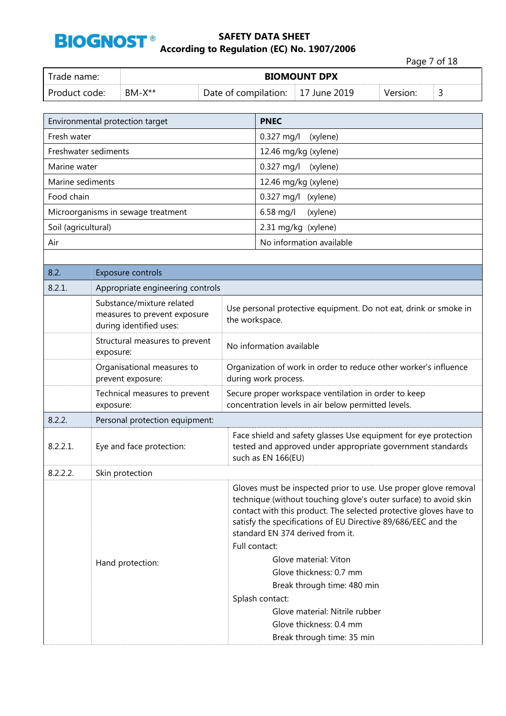

|                     |                      |                                                                                      |  |                                                                                    |                                                                                                                                                                                                                                                                                                                                                                                                                                                                                                                                 | Page 7 of 18 |   |
|---------------------|----------------------|--------------------------------------------------------------------------------------|--|------------------------------------------------------------------------------------|---------------------------------------------------------------------------------------------------------------------------------------------------------------------------------------------------------------------------------------------------------------------------------------------------------------------------------------------------------------------------------------------------------------------------------------------------------------------------------------------------------------------------------|--------------|---|
| Trade name:         |                      |                                                                                      |  | <b>BIOMOUNT DPX</b>                                                                |                                                                                                                                                                                                                                                                                                                                                                                                                                                                                                                                 |              |   |
| Product code:       |                      | $BM-X**$                                                                             |  |                                                                                    | Date of compilation:<br>17 June 2019                                                                                                                                                                                                                                                                                                                                                                                                                                                                                            | Version:     | 3 |
|                     |                      |                                                                                      |  |                                                                                    |                                                                                                                                                                                                                                                                                                                                                                                                                                                                                                                                 |              |   |
|                     |                      | Environmental protection target                                                      |  |                                                                                    | <b>PNEC</b>                                                                                                                                                                                                                                                                                                                                                                                                                                                                                                                     |              |   |
| Fresh water         |                      |                                                                                      |  |                                                                                    | 0.327 mg/l<br>(xylene)                                                                                                                                                                                                                                                                                                                                                                                                                                                                                                          |              |   |
|                     | Freshwater sediments |                                                                                      |  |                                                                                    | 12.46 mg/kg (xylene)                                                                                                                                                                                                                                                                                                                                                                                                                                                                                                            |              |   |
| Marine water        |                      |                                                                                      |  |                                                                                    | 0.327 mg/l<br>(xylene)                                                                                                                                                                                                                                                                                                                                                                                                                                                                                                          |              |   |
| Marine sediments    |                      |                                                                                      |  |                                                                                    | 12.46 mg/kg (xylene)                                                                                                                                                                                                                                                                                                                                                                                                                                                                                                            |              |   |
| Food chain          |                      |                                                                                      |  |                                                                                    | 0.327 mg/l (xylene)                                                                                                                                                                                                                                                                                                                                                                                                                                                                                                             |              |   |
|                     |                      | Microorganisms in sewage treatment                                                   |  |                                                                                    | 6.58 mg/l<br>(xylene)                                                                                                                                                                                                                                                                                                                                                                                                                                                                                                           |              |   |
| Soil (agricultural) |                      |                                                                                      |  |                                                                                    | 2.31 mg/kg (xylene)                                                                                                                                                                                                                                                                                                                                                                                                                                                                                                             |              |   |
| Air                 |                      |                                                                                      |  |                                                                                    | No information available                                                                                                                                                                                                                                                                                                                                                                                                                                                                                                        |              |   |
|                     |                      |                                                                                      |  |                                                                                    |                                                                                                                                                                                                                                                                                                                                                                                                                                                                                                                                 |              |   |
| 8.2.                |                      | Exposure controls                                                                    |  |                                                                                    |                                                                                                                                                                                                                                                                                                                                                                                                                                                                                                                                 |              |   |
| 8.2.1.              |                      | Appropriate engineering controls                                                     |  |                                                                                    |                                                                                                                                                                                                                                                                                                                                                                                                                                                                                                                                 |              |   |
|                     |                      | Substance/mixture related<br>measures to prevent exposure<br>during identified uses: |  | Use personal protective equipment. Do not eat, drink or smoke in<br>the workspace. |                                                                                                                                                                                                                                                                                                                                                                                                                                                                                                                                 |              |   |
|                     | exposure:            | Structural measures to prevent                                                       |  |                                                                                    | No information available                                                                                                                                                                                                                                                                                                                                                                                                                                                                                                        |              |   |
|                     |                      | Organisational measures to<br>prevent exposure:                                      |  |                                                                                    | Organization of work in order to reduce other worker's influence<br>during work process.                                                                                                                                                                                                                                                                                                                                                                                                                                        |              |   |
|                     | exposure:            | Technical measures to prevent                                                        |  |                                                                                    | Secure proper workspace ventilation in order to keep<br>concentration levels in air below permitted levels.                                                                                                                                                                                                                                                                                                                                                                                                                     |              |   |
| 8.2.2.              |                      | Personal protection equipment:                                                       |  |                                                                                    |                                                                                                                                                                                                                                                                                                                                                                                                                                                                                                                                 |              |   |
| 8.2.2.1.            |                      | Eye and face protection:                                                             |  |                                                                                    | Face shield and safety glasses Use equipment for eye protection<br>tested and approved under appropriate government standards<br>such as EN 166(EU)                                                                                                                                                                                                                                                                                                                                                                             |              |   |
| 8.2.2.2.            |                      | Skin protection                                                                      |  |                                                                                    |                                                                                                                                                                                                                                                                                                                                                                                                                                                                                                                                 |              |   |
|                     |                      | Hand protection:                                                                     |  |                                                                                    | Gloves must be inspected prior to use. Use proper glove removal<br>technique (without touching glove's outer surface) to avoid skin<br>contact with this product. The selected protective gloves have to<br>satisfy the specifications of EU Directive 89/686/EEC and the<br>standard EN 374 derived from it.<br>Full contact:<br>Glove material: Viton<br>Glove thickness: 0.7 mm<br>Break through time: 480 min<br>Splash contact:<br>Glove material: Nitrile rubber<br>Glove thickness: 0.4 mm<br>Break through time: 35 min |              |   |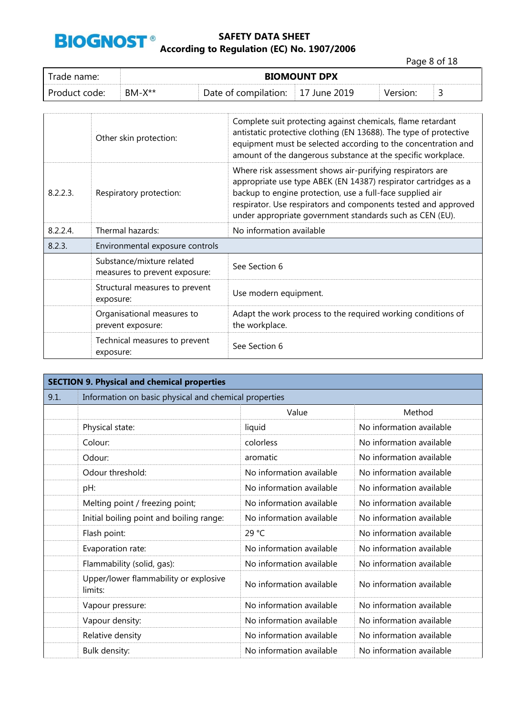

Page 8 of 18

| Frade name:   | <b>BIOMOUNT DPX</b> |                                   |  |          |  |  |
|---------------|---------------------|-----------------------------------|--|----------|--|--|
| Product code: | $BM-X**$            | Date of compilation: 17 June 2019 |  | Version: |  |  |

|          | Other skin protection:                                     | Complete suit protecting against chemicals, flame retardant<br>antistatic protective clothing (EN 13688). The type of protective<br>equipment must be selected according to the concentration and<br>amount of the dangerous substance at the specific workplace.                                                       |
|----------|------------------------------------------------------------|-------------------------------------------------------------------------------------------------------------------------------------------------------------------------------------------------------------------------------------------------------------------------------------------------------------------------|
| 8.2.2.3. | Respiratory protection:                                    | Where risk assessment shows air-purifying respirators are<br>appropriate use type ABEK (EN 14387) respirator cartridges as a<br>backup to engine protection, use a full-face supplied air<br>respirator. Use respirators and components tested and approved<br>under appropriate government standards such as CEN (EU). |
| 8.2.2.4. | Thermal hazards:                                           | No information available                                                                                                                                                                                                                                                                                                |
| 8.2.3.   | Environmental exposure controls                            |                                                                                                                                                                                                                                                                                                                         |
|          | Substance/mixture related<br>measures to prevent exposure: | See Section 6                                                                                                                                                                                                                                                                                                           |
|          | Structural measures to prevent<br>exposure:                | Use modern equipment.                                                                                                                                                                                                                                                                                                   |
|          | Organisational measures to<br>prevent exposure:            | Adapt the work process to the required working conditions of<br>the workplace.                                                                                                                                                                                                                                          |
|          | Technical measures to prevent<br>exposure:                 | See Section 6                                                                                                                                                                                                                                                                                                           |

| <b>SECTION 9. Physical and chemical properties</b> |                                                       |                          |                          |  |
|----------------------------------------------------|-------------------------------------------------------|--------------------------|--------------------------|--|
| 9.1.                                               | Information on basic physical and chemical properties |                          |                          |  |
|                                                    |                                                       | Value                    | Method                   |  |
|                                                    | Physical state:                                       | liquid                   | No information available |  |
|                                                    | Colour:                                               | colorless                | No information available |  |
|                                                    | Odour:                                                | aromatic                 | No information available |  |
|                                                    | Odour threshold:                                      | No information available | No information available |  |
|                                                    | pH:                                                   | No information available | No information available |  |
|                                                    | Melting point / freezing point;                       | No information available | No information available |  |
|                                                    | Initial boiling point and boiling range:              | No information available | No information available |  |
|                                                    | Flash point:                                          | 29 °C                    | No information available |  |
|                                                    | Evaporation rate:                                     | No information available | No information available |  |
|                                                    | Flammability (solid, gas):                            | No information available | No information available |  |
|                                                    | Upper/lower flammability or explosive<br>limits:      | No information available | No information available |  |
|                                                    | Vapour pressure:                                      | No information available | No information available |  |
|                                                    | Vapour density:                                       | No information available | No information available |  |
|                                                    | Relative density                                      | No information available | No information available |  |
|                                                    | Bulk density:                                         | No information available | No information available |  |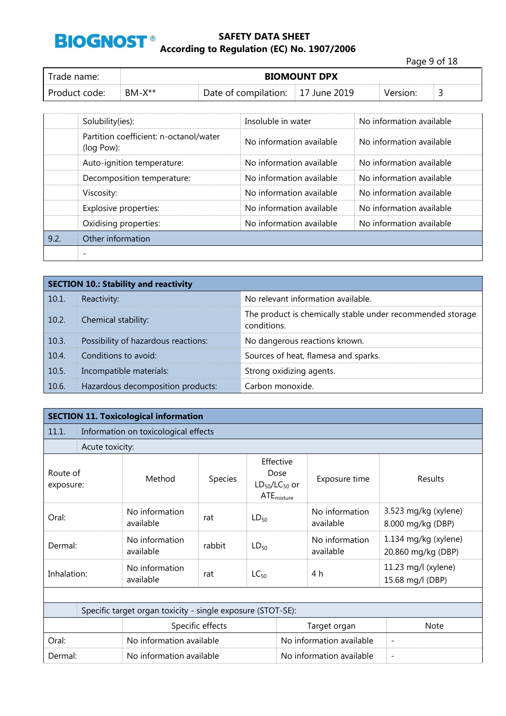

Page 9 of 18 Trade name: **BIOMOUNT DPX** Product code: BM-X<sup>\*\*</sup> Date of compilation: 17 June 2019 Version: 3

|      | Solubility(ies):                                     | Insoluble in water       | No information available |  |  |
|------|------------------------------------------------------|--------------------------|--------------------------|--|--|
|      | Partition coefficient: n-octanol/water<br>(log Pow): | No information available | No information available |  |  |
|      | Auto-ignition temperature:                           | No information available | No information available |  |  |
|      | Decomposition temperature:                           | No information available | No information available |  |  |
|      | Viscosity:                                           | No information available | No information available |  |  |
|      | Explosive properties:                                | No information available | No information available |  |  |
|      | Oxidising properties:                                | No information available | No information available |  |  |
| 9.2. | Other information                                    |                          |                          |  |  |
|      |                                                      |                          |                          |  |  |

|       | <b>SECTION 10.: Stability and reactivity</b> |                                                                           |  |  |
|-------|----------------------------------------------|---------------------------------------------------------------------------|--|--|
| 10.1. | Reactivity:                                  | No relevant information available.                                        |  |  |
| 10.2. | Chemical stability:                          | The product is chemically stable under recommended storage<br>conditions. |  |  |
| 10.3. | Possibility of hazardous reactions:          | No dangerous reactions known.                                             |  |  |
| 10.4. | Conditions to avoid:                         | Sources of heat, flamesa and sparks.                                      |  |  |
| 10.5. | Incompatible materials:                      | Strong oxidizing agents.                                                  |  |  |
| 10.6. | Hazardous decomposition products:            | Carbon monoxide.                                                          |  |  |

| <b>SECTION 11. Toxicological information</b> |                                                             |                                      |         |                                                              |                             |                                            |  |  |
|----------------------------------------------|-------------------------------------------------------------|--------------------------------------|---------|--------------------------------------------------------------|-----------------------------|--------------------------------------------|--|--|
| 11.1.                                        |                                                             | Information on toxicological effects |         |                                                              |                             |                                            |  |  |
|                                              | Acute toxicity:                                             |                                      |         |                                                              |                             |                                            |  |  |
| Route of<br>exposure:                        |                                                             | Method                               | Species | Effective<br>Dose<br>$LD_{50}/LC_{50}$ or<br>$ATE_{mixture}$ | Exposure time               | Results                                    |  |  |
| Oral:                                        |                                                             | No information<br>available          | rat     | $LD_{50}$                                                    | No information<br>available | 3.523 mg/kg (xylene)<br>8.000 mg/kg (DBP)  |  |  |
| Dermal:                                      |                                                             | No information<br>available          | rabbit  | $LD_{50}$                                                    | No information<br>available | 1.134 mg/kg (xylene)<br>20.860 mg/kg (DBP) |  |  |
| Inhalation:                                  |                                                             | No information<br>available          | rat     | $LC_{50}$                                                    | 4 h                         | 11.23 mg/l (xylene)<br>15.68 mg/l (DBP)    |  |  |
|                                              |                                                             |                                      |         |                                                              |                             |                                            |  |  |
|                                              | Specific target organ toxicity - single exposure (STOT-SE): |                                      |         |                                                              |                             |                                            |  |  |
|                                              | Specific effects                                            |                                      |         |                                                              | Target organ                | <b>Note</b>                                |  |  |
| Oral:                                        |                                                             | No information available             |         |                                                              | No information available    | $\overline{\phantom{a}}$                   |  |  |
| Dermal:                                      |                                                             | No information available             |         |                                                              | No information available    |                                            |  |  |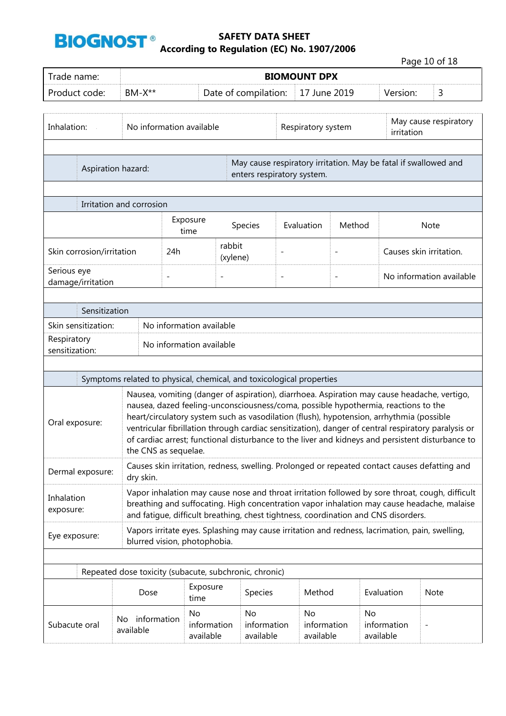

|                                  |                                                                      |                                                                                               |                                |                                                                                                                                                                                |                     |                          |                 |                       | Page 10 of 18                                                                                                                                                                                                                                                                                          |
|----------------------------------|----------------------------------------------------------------------|-----------------------------------------------------------------------------------------------|--------------------------------|--------------------------------------------------------------------------------------------------------------------------------------------------------------------------------|---------------------|--------------------------|-----------------|-----------------------|--------------------------------------------------------------------------------------------------------------------------------------------------------------------------------------------------------------------------------------------------------------------------------------------------------|
| Trade name:                      |                                                                      |                                                                                               |                                |                                                                                                                                                                                | <b>BIOMOUNT DPX</b> |                          |                 |                       |                                                                                                                                                                                                                                                                                                        |
| Product code:                    | $BM-X**$                                                             |                                                                                               |                                | Date of compilation:                                                                                                                                                           |                     | 17 June 2019             |                 | Version:              | 3                                                                                                                                                                                                                                                                                                      |
| Inhalation:                      |                                                                      | No information available                                                                      |                                | Respiratory system                                                                                                                                                             |                     |                          | irritation      | May cause respiratory |                                                                                                                                                                                                                                                                                                        |
| Aspiration hazard:               |                                                                      | May cause respiratory irritation. May be fatal if swallowed and<br>enters respiratory system. |                                |                                                                                                                                                                                |                     |                          |                 |                       |                                                                                                                                                                                                                                                                                                        |
|                                  | Irritation and corrosion                                             |                                                                                               |                                |                                                                                                                                                                                |                     |                          |                 |                       |                                                                                                                                                                                                                                                                                                        |
|                                  | Exposure<br>time                                                     |                                                                                               |                                | Species                                                                                                                                                                        | Evaluation          | Method                   |                 |                       | Note                                                                                                                                                                                                                                                                                                   |
| Skin corrosion/irritation        |                                                                      | 24h                                                                                           | rabbit                         | (xylene)                                                                                                                                                                       | $\overline{a}$      | $\overline{\phantom{0}}$ |                 |                       | Causes skin irritation.                                                                                                                                                                                                                                                                                |
| Serious eye<br>damage/irritation |                                                                      | $\overline{a}$                                                                                | $\qquad \qquad -$              |                                                                                                                                                                                | $\overline{a}$      | $\overline{\phantom{a}}$ |                 |                       | No information available                                                                                                                                                                                                                                                                               |
|                                  |                                                                      |                                                                                               |                                |                                                                                                                                                                                |                     |                          |                 |                       |                                                                                                                                                                                                                                                                                                        |
| Sensitization                    |                                                                      |                                                                                               |                                |                                                                                                                                                                                |                     |                          |                 |                       |                                                                                                                                                                                                                                                                                                        |
| Skin sensitization:              |                                                                      |                                                                                               | No information available       |                                                                                                                                                                                |                     |                          |                 |                       |                                                                                                                                                                                                                                                                                                        |
| Respiratory<br>sensitization:    |                                                                      |                                                                                               | No information available       |                                                                                                                                                                                |                     |                          |                 |                       |                                                                                                                                                                                                                                                                                                        |
|                                  |                                                                      |                                                                                               |                                |                                                                                                                                                                                |                     |                          |                 |                       |                                                                                                                                                                                                                                                                                                        |
|                                  | Symptoms related to physical, chemical, and toxicological properties |                                                                                               |                                |                                                                                                                                                                                |                     |                          |                 |                       |                                                                                                                                                                                                                                                                                                        |
| Oral exposure:                   |                                                                      | the CNS as sequelae.                                                                          |                                | nausea, dazed feeling-unconsciousness/coma, possible hypothermia, reactions to the<br>heart/circulatory system such as vasodilation (flush), hypotension, arrhythmia (possible |                     |                          |                 |                       | Nausea, vomiting (danger of aspiration), diarrhoea. Aspiration may cause headache, vertigo,<br>ventricular fibrillation through cardiac sensitization), danger of central respiratory paralysis or<br>of cardiac arrest; functional disturbance to the liver and kidneys and persistent disturbance to |
| Dermal exposure:                 | dry skin.                                                            |                                                                                               |                                |                                                                                                                                                                                |                     |                          |                 |                       | Causes skin irritation, redness, swelling. Prolonged or repeated contact causes defatting and                                                                                                                                                                                                          |
| Inhalation<br>exposure:          |                                                                      |                                                                                               |                                | and fatigue, difficult breathing, chest tightness, coordination and CNS disorders.                                                                                             |                     |                          |                 |                       | Vapor inhalation may cause nose and throat irritation followed by sore throat, cough, difficult<br>breathing and suffocating. High concentration vapor inhalation may cause headache, malaise                                                                                                          |
| Eye exposure:                    |                                                                      |                                                                                               | blurred vision, photophobia.   | Vapors irritate eyes. Splashing may cause irritation and redness, lacrimation, pain, swelling,                                                                                 |                     |                          |                 |                       |                                                                                                                                                                                                                                                                                                        |
|                                  |                                                                      |                                                                                               |                                |                                                                                                                                                                                |                     |                          |                 |                       |                                                                                                                                                                                                                                                                                                        |
|                                  | Repeated dose toxicity (subacute, subchronic, chronic)               |                                                                                               |                                |                                                                                                                                                                                |                     |                          |                 |                       |                                                                                                                                                                                                                                                                                                        |
|                                  | Dose                                                                 |                                                                                               | Exposure<br>time               | Species                                                                                                                                                                        |                     | Method                   |                 | Evaluation            | Note                                                                                                                                                                                                                                                                                                   |
| Subacute oral                    | information<br>No.<br>available                                      |                                                                                               | No<br>information<br>available | No<br>information<br>available                                                                                                                                                 | No                  | information<br>available | No<br>available | information           |                                                                                                                                                                                                                                                                                                        |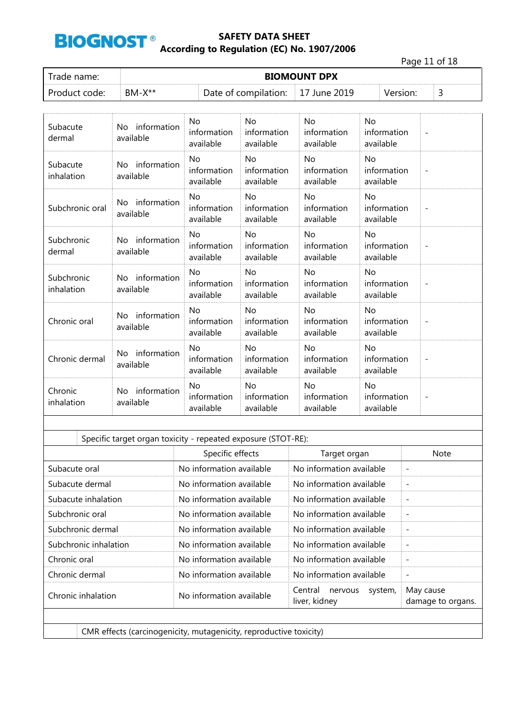

Page 11 of 18

| Trade name:   | <b>BIOMOUNT DPX</b> |                                   |  |          |  |  |  |
|---------------|---------------------|-----------------------------------|--|----------|--|--|--|
| Product code: | $BM-X^{**}$         | Date of compilation: 17 June 2019 |  | Version: |  |  |  |

| Subacute<br>dermal       | information<br>No.<br>available | No.<br>information<br>available            | No<br>information<br>available        | No<br>information<br>available        | No<br>information<br>available             | $\overline{\phantom{a}}$ |
|--------------------------|---------------------------------|--------------------------------------------|---------------------------------------|---------------------------------------|--------------------------------------------|--------------------------|
| Subacute<br>inhalation   | No information<br>available     | N <sub>o</sub><br>information<br>available | <b>No</b><br>information<br>available | <b>No</b><br>information<br>available | N <sub>o</sub><br>information<br>available | $\overline{\phantom{a}}$ |
| Subchronic oral          | information<br>No.<br>available | <b>No</b><br>information<br>available      | <b>No</b><br>information<br>available | <b>No</b><br>information<br>available | <b>No</b><br>information<br>available      |                          |
| Subchronic<br>dermal     | No information<br>available     | No<br>information<br>available             | No<br>information<br>available        | No<br>information<br>available        | <b>No</b><br>information<br>available      |                          |
| Subchronic<br>inhalation | information<br>No.<br>available | No.<br>information<br>available            | <b>No</b><br>information<br>available | <b>No</b><br>information<br>available | No.<br>information<br>available            | $\overline{\phantom{a}}$ |
| Chronic oral             | information<br>No.<br>available | <b>No</b><br>information<br>available      | <b>No</b><br>information<br>available | <b>No</b><br>information<br>available | N <sub>o</sub><br>information<br>available | $\overline{\phantom{a}}$ |
| Chronic dermal           | No information<br>available     | No<br>information<br>available             | <b>No</b><br>information<br>available | No<br>information<br>available        | N <sub>o</sub><br>information<br>available | $\overline{\phantom{a}}$ |
| Chronic<br>inhalation    | No information<br>available     | No<br>information<br>available             | No<br>information<br>available        | No<br>information<br>available        | No<br>information<br>available             | $\overline{\phantom{a}}$ |

|                       | Specific effects         | Target organ                                   | <b>Note</b>                    |
|-----------------------|--------------------------|------------------------------------------------|--------------------------------|
| Subacute oral         | No information available | No information available                       |                                |
| Subacute dermal       | No information available | No information available                       | $\overline{\phantom{a}}$       |
| Subacute inhalation   | No information available | No information available                       |                                |
| Subchronic oral       | No information available | No information available                       | $\overline{\phantom{a}}$       |
| Subchronic dermal     | No information available | No information available                       |                                |
| Subchronic inhalation | No information available | No information available                       | $\overline{\phantom{a}}$       |
| Chronic oral          | No information available | No information available                       |                                |
| Chronic dermal        | No information available | No information available                       | $\overline{\phantom{a}}$       |
| Chronic inhalation    | No information available | Central<br>system,<br>nervous<br>liver, kidney | May cause<br>damage to organs. |
|                       |                          |                                                |                                |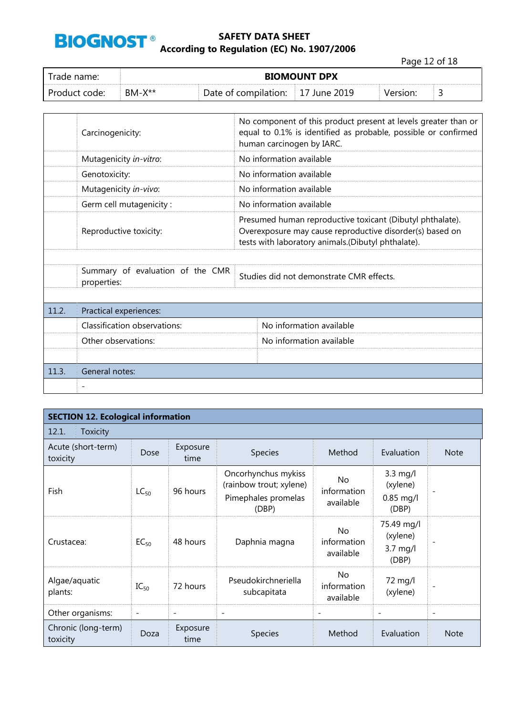

Page 12 of 18

| Trade name: I |          |                      | <b>BIOMOUNT DPX</b> |          |  |
|---------------|----------|----------------------|---------------------|----------|--|
| Product code: | $BM-X**$ | Date of compilation: | June 2019           | Version: |  |

|       | Carcinogenicity:                                | No component of this product present at levels greater than or<br>equal to 0.1% is identified as probable, possible or confirmed<br>human carcinogen by IARC.               |                          |  |  |  |  |
|-------|-------------------------------------------------|-----------------------------------------------------------------------------------------------------------------------------------------------------------------------------|--------------------------|--|--|--|--|
|       | Mutagenicity in-vitro:                          | No information available                                                                                                                                                    |                          |  |  |  |  |
|       | Genotoxicity:                                   |                                                                                                                                                                             | No information available |  |  |  |  |
|       | Mutagenicity in-vivo:                           |                                                                                                                                                                             | No information available |  |  |  |  |
|       | Germ cell mutagenicity:                         |                                                                                                                                                                             | No information available |  |  |  |  |
|       | Reproductive toxicity:                          | Presumed human reproductive toxicant (Dibutyl phthalate).<br>Overexposure may cause reproductive disorder(s) based on<br>tests with laboratory animals.(Dibutyl phthalate). |                          |  |  |  |  |
|       |                                                 |                                                                                                                                                                             |                          |  |  |  |  |
|       | Summary of evaluation of the CMR<br>properties: | Studies did not demonstrate CMR effects.                                                                                                                                    |                          |  |  |  |  |
|       |                                                 |                                                                                                                                                                             |                          |  |  |  |  |
| 11.2. | Practical experiences:                          |                                                                                                                                                                             |                          |  |  |  |  |
|       | Classification observations:                    |                                                                                                                                                                             | No information available |  |  |  |  |
|       | Other observations:                             |                                                                                                                                                                             | No information available |  |  |  |  |
|       |                                                 |                                                                                                                                                                             |                          |  |  |  |  |
| 11.3. | General notes:                                  |                                                                                                                                                                             |                          |  |  |  |  |
|       |                                                 |                                                                                                                                                                             |                          |  |  |  |  |

|                                 | <b>SECTION 12. Ecological information</b> |                          |                                                                                |                                 |                                               |                          |  |  |  |
|---------------------------------|-------------------------------------------|--------------------------|--------------------------------------------------------------------------------|---------------------------------|-----------------------------------------------|--------------------------|--|--|--|
| 12.1.<br><b>Toxicity</b>        |                                           |                          |                                                                                |                                 |                                               |                          |  |  |  |
| Acute (short-term)<br>toxicity  | Dose                                      | Exposure<br>time         | Species                                                                        | Method                          | Evaluation                                    | <b>Note</b>              |  |  |  |
| Fish                            | $LC_{50}$                                 | 96 hours                 | Oncorhynchus mykiss<br>(rainbow trout; xylene)<br>Pimephales promelas<br>(DBP) | No.<br>information<br>available | 3.3 mg/l<br>(xylene)<br>$0.85$ mg/l<br>(DBP)  | $\overline{\phantom{0}}$ |  |  |  |
| Crustacea:                      | $EC_{50}$                                 | 48 hours                 | Daphnia magna                                                                  | No<br>information<br>available  | 75.49 mg/l<br>(xylene)<br>$3.7$ mg/l<br>(DBP) |                          |  |  |  |
| Algae/aquatic<br>plants:        | $IC_{50}$                                 | 72 hours                 | Pseudokirchneriella<br>subcapitata                                             | No.<br>information<br>available | 72 mg/l<br>(xylene)                           |                          |  |  |  |
| Other organisms:                | $\overline{\phantom{a}}$                  | $\overline{\phantom{a}}$ | $\overline{\phantom{a}}$                                                       | $\overline{\phantom{a}}$        | $\overline{\phantom{a}}$                      | $\overline{\phantom{a}}$ |  |  |  |
| Chronic (long-term)<br>toxicity | Doza                                      | Exposure<br>time         | <b>Species</b>                                                                 | Method                          | Evaluation                                    | <b>Note</b>              |  |  |  |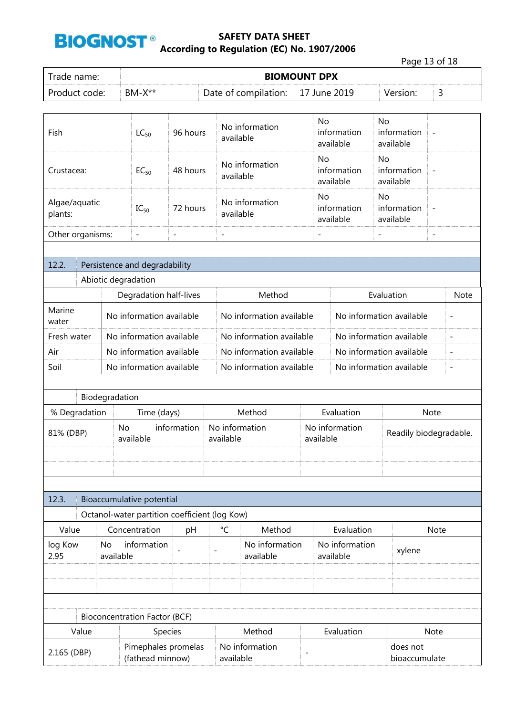

|                                                        |                          |                        |                                               |                             |                          |                                          |                                |                             |                                       | Page 13 of 18            |                              |
|--------------------------------------------------------|--------------------------|------------------------|-----------------------------------------------|-----------------------------|--------------------------|------------------------------------------|--------------------------------|-----------------------------|---------------------------------------|--------------------------|------------------------------|
| Trade name:                                            |                          |                        |                                               |                             |                          | <b>BIOMOUNT DPX</b>                      |                                |                             |                                       |                          |                              |
| Product code:                                          |                          |                        | $BM-X**$                                      |                             |                          | Date of compilation:                     |                                | 17 June 2019                | Version:                              | 3                        |                              |
|                                                        |                          |                        |                                               |                             |                          |                                          |                                |                             |                                       |                          |                              |
| Fish                                                   |                          |                        | $LC_{50}$                                     | 96 hours                    |                          | No information<br>available              | <b>No</b>                      | information<br>available    | <b>No</b><br>information<br>available | $\overline{\phantom{0}}$ |                              |
| Crustacea:                                             |                          | 48 hours<br>$EC_{50}$  |                                               |                             |                          | No information<br>available              | No<br>information<br>available |                             | No<br>information<br>available        | $\overline{a}$           |                              |
| Algae/aquatic<br>72 hours<br>$IC_{50}$<br>plants:      |                          |                        |                                               | No information<br>available | No                       | information<br>available                 | No<br>information<br>available | $\overline{a}$              |                                       |                          |                              |
| Other organisms:                                       |                          |                        | $\overline{\phantom{a}}$                      | $\overline{\phantom{0}}$    | $\overline{\phantom{a}}$ |                                          |                                |                             | $\qquad \qquad -$                     | $\overline{\phantom{a}}$ |                              |
|                                                        |                          |                        |                                               |                             |                          |                                          |                                |                             |                                       |                          |                              |
| 12.2.                                                  |                          |                        | Persistence and degradability                 |                             |                          |                                          |                                |                             |                                       |                          |                              |
|                                                        |                          |                        | Abiotic degradation                           |                             |                          |                                          |                                |                             |                                       |                          |                              |
|                                                        |                          | Degradation half-lives |                                               |                             |                          | Method                                   | Evaluation                     |                             |                                       |                          | <b>Note</b>                  |
| Marine<br>water                                        |                          |                        | No information available                      |                             |                          | No information available                 |                                |                             | No information available              |                          | $\overline{\phantom{0}}$     |
| Fresh water                                            |                          |                        | No information available                      |                             |                          | No information available                 |                                |                             | No information available              |                          | $\qquad \qquad \blacksquare$ |
| Air                                                    | No information available |                        |                                               |                             |                          | No information available                 |                                |                             | No information available              |                          | $\qquad \qquad -$            |
| Soil                                                   |                          |                        | No information available                      |                             |                          | No information available                 |                                |                             | No information available              |                          | $\qquad \qquad -$            |
|                                                        |                          |                        |                                               |                             |                          |                                          |                                |                             |                                       |                          |                              |
|                                                        |                          | Biodegradation         |                                               |                             |                          |                                          |                                |                             |                                       |                          |                              |
|                                                        | % Degradation            |                        | Time (days)                                   |                             |                          | Method<br>Evaluation                     |                                |                             |                                       | <b>Note</b>              |                              |
| 81% (DBP)                                              |                          | No                     | available                                     | information                 |                          | No information<br>available<br>available |                                | No information              |                                       | Readily biodegradable.   |                              |
|                                                        |                          |                        |                                               |                             |                          |                                          |                                |                             |                                       |                          |                              |
| 12.3.                                                  |                          |                        | Bioaccumulative potential                     |                             |                          |                                          |                                |                             |                                       |                          |                              |
|                                                        |                          |                        | Octanol-water partition coefficient (log Kow) |                             |                          |                                          |                                |                             |                                       |                          |                              |
| Value                                                  |                          |                        | Concentration                                 | pH                          | °C                       | Method                                   |                                | Evaluation                  |                                       | Note                     |                              |
| log Kow<br>2.95                                        |                          | No<br>available        | information                                   |                             |                          | No information<br>available              |                                | No information<br>available |                                       | xylene                   |                              |
|                                                        |                          |                        |                                               |                             |                          |                                          |                                |                             |                                       |                          |                              |
|                                                        |                          |                        |                                               |                             |                          |                                          |                                |                             |                                       |                          |                              |
|                                                        |                          |                        | <b>Bioconcentration Factor (BCF)</b>          |                             |                          |                                          |                                |                             |                                       |                          |                              |
|                                                        | Value                    |                        | Species                                       |                             |                          | Method                                   |                                | Evaluation                  |                                       | Note                     |                              |
| Pimephales promelas<br>2.165 (DBP)<br>(fathead minnow) |                          |                        |                                               | No information<br>available |                          |                                          | does not<br>bioaccumulate      |                             |                                       |                          |                              |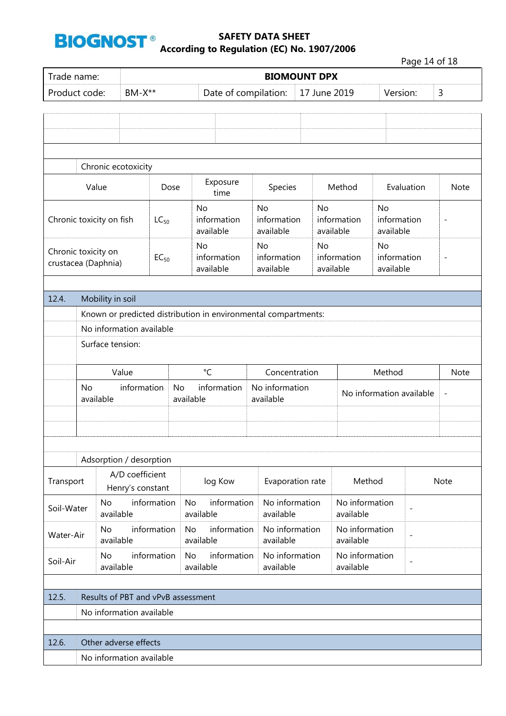

|                                            | Page 14 of 18                                                  |                        |                          |             |           |                          |             |                             |           |                          |                          |                          |                          |
|--------------------------------------------|----------------------------------------------------------------|------------------------|--------------------------|-------------|-----------|--------------------------|-------------|-----------------------------|-----------|--------------------------|--------------------------|--------------------------|--------------------------|
| Trade name:                                |                                                                |                        |                          |             |           |                          |             | <b>BIOMOUNT DPX</b>         |           |                          |                          |                          |                          |
| Product code:                              |                                                                |                        | $BM-X**$                 |             |           |                          |             | Date of compilation:        |           | 17 June 2019             |                          | Version:                 | 3                        |
|                                            |                                                                |                        |                          |             |           |                          |             |                             |           |                          |                          |                          |                          |
|                                            |                                                                |                        |                          |             |           |                          |             |                             |           |                          |                          |                          |                          |
|                                            |                                                                |                        |                          |             |           |                          |             |                             |           |                          |                          |                          |                          |
|                                            |                                                                |                        |                          |             |           |                          |             |                             |           |                          |                          |                          |                          |
|                                            |                                                                |                        | Chronic ecotoxicity      |             |           |                          |             |                             |           |                          |                          |                          |                          |
|                                            | Value                                                          |                        |                          | Dose        |           | Exposure<br>time         |             | Species                     | Method    |                          |                          | Evaluation               | Note                     |
|                                            |                                                                |                        |                          |             |           | No                       |             | <b>No</b>                   | <b>No</b> |                          | <b>No</b>                |                          |                          |
| Chronic toxicity on fish                   |                                                                |                        |                          | $LC_{50}$   |           | information<br>available |             | information<br>available    |           | information<br>available | information<br>available |                          | $\overline{\phantom{0}}$ |
|                                            |                                                                |                        |                          |             |           | <b>No</b>                |             | <b>No</b>                   | <b>No</b> |                          | <b>No</b>                |                          |                          |
| Chronic toxicity on<br>crustacea (Daphnia) |                                                                |                        |                          | $EC_{50}$   |           | information              |             | information                 |           | information              | information              |                          | $\overline{a}$           |
|                                            |                                                                |                        |                          |             |           | available                |             | available                   |           | available                | available                |                          |                          |
|                                            |                                                                |                        |                          |             |           |                          |             |                             |           |                          |                          |                          |                          |
| 12.4.                                      | Mobility in soil                                               |                        |                          |             |           |                          |             |                             |           |                          |                          |                          |                          |
|                                            | Known or predicted distribution in environmental compartments: |                        |                          |             |           |                          |             |                             |           |                          |                          |                          |                          |
|                                            | No information available                                       |                        |                          |             |           |                          |             |                             |           |                          |                          |                          |                          |
|                                            | Surface tension:                                               |                        |                          |             |           |                          |             |                             |           |                          |                          |                          |                          |
|                                            |                                                                |                        | Value                    |             |           | $\mathrm{C}$             |             | Concentration               |           |                          | Method                   |                          | Note                     |
|                                            | <b>No</b>                                                      |                        | information              |             | <b>No</b> | information              |             | No information              |           | No information available |                          |                          |                          |
|                                            | available                                                      |                        |                          |             |           | available                |             | available                   |           |                          |                          |                          | $\overline{a}$           |
|                                            |                                                                |                        |                          |             |           |                          |             |                             |           |                          |                          |                          |                          |
|                                            |                                                                |                        |                          |             |           |                          |             |                             |           |                          |                          |                          |                          |
|                                            |                                                                |                        |                          |             |           |                          |             |                             |           |                          |                          |                          |                          |
|                                            |                                                                |                        | Adsorption / desorption  |             |           |                          |             |                             |           |                          |                          |                          |                          |
|                                            |                                                                |                        | A/D coefficient          |             |           | log Kow                  |             | Evaporation rate            |           |                          | Method                   |                          | Note                     |
| Transport                                  |                                                                |                        | Henry's constant         |             |           |                          |             |                             |           |                          |                          |                          |                          |
| Soil-Water                                 |                                                                | <b>No</b><br>available |                          | information | No        | available                | information | No information<br>available |           | available                | No information           | $\overline{\phantom{a}}$ |                          |
| Water-Air                                  |                                                                | No<br>available        |                          | information | <b>No</b> | available                | information | No information<br>available |           | available                | No information           | $\overline{\phantom{0}}$ |                          |
| Soil-Air                                   |                                                                | <b>No</b><br>available |                          | information | <b>No</b> | available                | information | No information<br>available |           | available                | No information           |                          |                          |
|                                            |                                                                |                        |                          |             |           |                          |             |                             |           |                          |                          |                          |                          |
| 12.5.                                      | Results of PBT and vPvB assessment                             |                        |                          |             |           |                          |             |                             |           |                          |                          |                          |                          |
|                                            |                                                                |                        | No information available |             |           |                          |             |                             |           |                          |                          |                          |                          |
|                                            |                                                                |                        |                          |             |           |                          |             |                             |           |                          |                          |                          |                          |
| 12.6.                                      | Other adverse effects                                          |                        |                          |             |           |                          |             |                             |           |                          |                          |                          |                          |
|                                            |                                                                |                        | No information available |             |           |                          |             |                             |           |                          |                          |                          |                          |
|                                            |                                                                |                        |                          |             |           |                          |             |                             |           |                          |                          |                          |                          |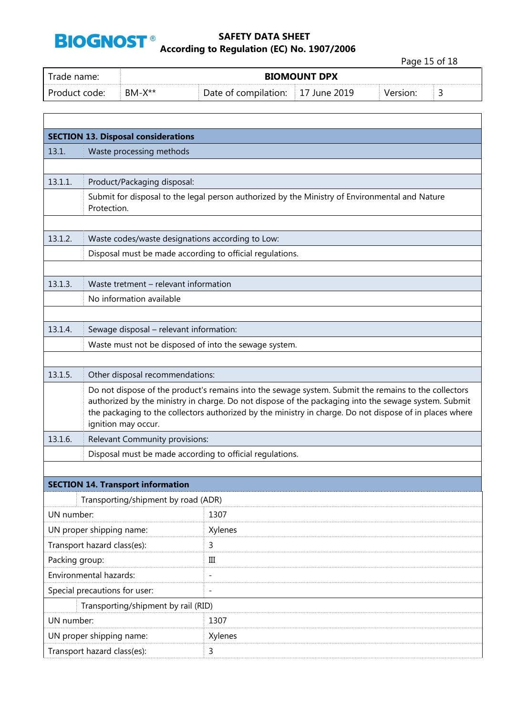

 $\Gamma$ 

## **SAFETY DATA SHEET According to Regulation (EC) No. 1907/2006**

Page 15 of 18

| Trade name:   |          |                      | <b>BIOMOUNT DPX</b> |          |  |
|---------------|----------|----------------------|---------------------|----------|--|
| Product code: | $BM-X**$ | Date of compilation: | :     17 June 2019  | Version: |  |

|                | <b>SECTION 13. Disposal considerations</b>                                                                                                                                                                                                                                                                                                     |                                                                                                |  |  |  |  |  |
|----------------|------------------------------------------------------------------------------------------------------------------------------------------------------------------------------------------------------------------------------------------------------------------------------------------------------------------------------------------------|------------------------------------------------------------------------------------------------|--|--|--|--|--|
| 13.1.          | Waste processing methods                                                                                                                                                                                                                                                                                                                       |                                                                                                |  |  |  |  |  |
|                |                                                                                                                                                                                                                                                                                                                                                |                                                                                                |  |  |  |  |  |
| 13.1.1.        | Product/Packaging disposal:                                                                                                                                                                                                                                                                                                                    |                                                                                                |  |  |  |  |  |
|                | Protection.                                                                                                                                                                                                                                                                                                                                    | Submit for disposal to the legal person authorized by the Ministry of Environmental and Nature |  |  |  |  |  |
|                |                                                                                                                                                                                                                                                                                                                                                |                                                                                                |  |  |  |  |  |
| 13.1.2.        | Waste codes/waste designations according to Low:                                                                                                                                                                                                                                                                                               |                                                                                                |  |  |  |  |  |
|                | Disposal must be made according to official regulations.                                                                                                                                                                                                                                                                                       |                                                                                                |  |  |  |  |  |
|                |                                                                                                                                                                                                                                                                                                                                                |                                                                                                |  |  |  |  |  |
| 13.1.3.        | Waste tretment - relevant information                                                                                                                                                                                                                                                                                                          |                                                                                                |  |  |  |  |  |
|                | No information available                                                                                                                                                                                                                                                                                                                       |                                                                                                |  |  |  |  |  |
|                |                                                                                                                                                                                                                                                                                                                                                |                                                                                                |  |  |  |  |  |
| 13.1.4.        | Sewage disposal - relevant information:                                                                                                                                                                                                                                                                                                        |                                                                                                |  |  |  |  |  |
|                | Waste must not be disposed of into the sewage system.                                                                                                                                                                                                                                                                                          |                                                                                                |  |  |  |  |  |
|                |                                                                                                                                                                                                                                                                                                                                                |                                                                                                |  |  |  |  |  |
| 13.1.5.        | Other disposal recommendations:                                                                                                                                                                                                                                                                                                                |                                                                                                |  |  |  |  |  |
|                | Do not dispose of the product's remains into the sewage system. Submit the remains to the collectors<br>authorized by the ministry in charge. Do not dispose of the packaging into the sewage system. Submit<br>the packaging to the collectors authorized by the ministry in charge. Do not dispose of in places where<br>ignition may occur. |                                                                                                |  |  |  |  |  |
| 13.1.6.        | Relevant Community provisions:                                                                                                                                                                                                                                                                                                                 |                                                                                                |  |  |  |  |  |
|                | Disposal must be made according to official regulations.                                                                                                                                                                                                                                                                                       |                                                                                                |  |  |  |  |  |
|                |                                                                                                                                                                                                                                                                                                                                                |                                                                                                |  |  |  |  |  |
|                | <b>SECTION 14. Transport information</b>                                                                                                                                                                                                                                                                                                       |                                                                                                |  |  |  |  |  |
|                | Transporting/shipment by road (ADR)                                                                                                                                                                                                                                                                                                            |                                                                                                |  |  |  |  |  |
| UN number:     |                                                                                                                                                                                                                                                                                                                                                | 1307                                                                                           |  |  |  |  |  |
|                | UN proper shipping name:                                                                                                                                                                                                                                                                                                                       | Xylenes                                                                                        |  |  |  |  |  |
|                | Transport hazard class(es):                                                                                                                                                                                                                                                                                                                    | 3                                                                                              |  |  |  |  |  |
| Packing group: |                                                                                                                                                                                                                                                                                                                                                | $\rm III$                                                                                      |  |  |  |  |  |
|                | Environmental hazards:                                                                                                                                                                                                                                                                                                                         | $\qquad \qquad -$                                                                              |  |  |  |  |  |
|                | Special precautions for user:                                                                                                                                                                                                                                                                                                                  | $\overline{\phantom{a}}$                                                                       |  |  |  |  |  |
|                | Transporting/shipment by rail (RID)                                                                                                                                                                                                                                                                                                            |                                                                                                |  |  |  |  |  |
| UN number:     |                                                                                                                                                                                                                                                                                                                                                | 1307                                                                                           |  |  |  |  |  |
|                | UN proper shipping name:                                                                                                                                                                                                                                                                                                                       | Xylenes                                                                                        |  |  |  |  |  |
|                | Transport hazard class(es):                                                                                                                                                                                                                                                                                                                    | 3                                                                                              |  |  |  |  |  |
|                |                                                                                                                                                                                                                                                                                                                                                |                                                                                                |  |  |  |  |  |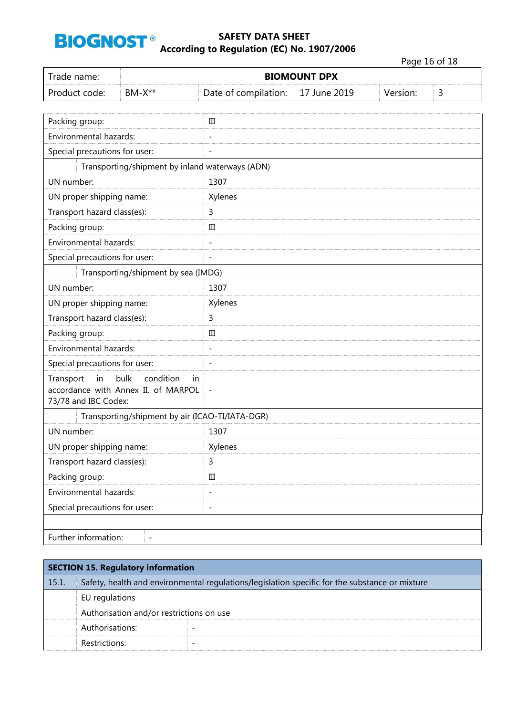

|                                                                                                            |                                                 |                          |              |          | Page 16 of 18 |
|------------------------------------------------------------------------------------------------------------|-------------------------------------------------|--------------------------|--------------|----------|---------------|
| Trade name:                                                                                                | <b>BIOMOUNT DPX</b>                             |                          |              |          |               |
| Product code:                                                                                              | $BM-X**$                                        | Date of compilation:     | 17 June 2019 | Version: | 3             |
|                                                                                                            |                                                 |                          |              |          |               |
| Packing group:                                                                                             |                                                 | $\quad \  III$           |              |          |               |
| Environmental hazards:                                                                                     |                                                 | $\overline{a}$           |              |          |               |
| Special precautions for user:                                                                              |                                                 | $\overline{\phantom{0}}$ |              |          |               |
|                                                                                                            | Transporting/shipment by inland waterways (ADN) |                          |              |          |               |
| UN number:                                                                                                 |                                                 | 1307                     |              |          |               |
| UN proper shipping name:                                                                                   |                                                 | Xylenes                  |              |          |               |
| Transport hazard class(es):                                                                                |                                                 | 3                        |              |          |               |
| Packing group:                                                                                             |                                                 | Ш                        |              |          |               |
| Environmental hazards:                                                                                     |                                                 | $\overline{\phantom{0}}$ |              |          |               |
| Special precautions for user:                                                                              |                                                 | $\overline{a}$           |              |          |               |
|                                                                                                            | Transporting/shipment by sea (IMDG)             |                          |              |          |               |
| UN number:                                                                                                 |                                                 | 1307                     |              |          |               |
| UN proper shipping name:                                                                                   |                                                 | Xylenes                  |              |          |               |
| Transport hazard class(es):                                                                                |                                                 | 3                        |              |          |               |
| Packing group:                                                                                             |                                                 | Ш                        |              |          |               |
| Environmental hazards:                                                                                     |                                                 | $\overline{\phantom{a}}$ |              |          |               |
| Special precautions for user:                                                                              |                                                 | $\overline{\phantom{a}}$ |              |          |               |
| Transport<br>in<br>bulk<br>condition<br>in.<br>accordance with Annex II. of MARPOL<br>73/78 and IBC Codex: |                                                 | $\qquad \qquad -$        |              |          |               |
|                                                                                                            | Transporting/shipment by air (ICAO-TI/IATA-DGR) |                          |              |          |               |
| UN number:                                                                                                 |                                                 | 1307                     |              |          |               |
| UN proper shipping name:                                                                                   |                                                 | Xylenes                  |              |          |               |
| Transport hazard class(es):                                                                                |                                                 | 3                        |              |          |               |
| Packing group:                                                                                             |                                                 | $\rm III$                |              |          |               |
| Environmental hazards:                                                                                     |                                                 | $\qquad \qquad -$        |              |          |               |
| Special precautions for user:                                                                              |                                                 | $\overline{\phantom{a}}$ |              |          |               |
| Further information:                                                                                       |                                                 |                          |              |          |               |

| <b>SECTION 15. Regulatory information</b> |                                                                                                |  |  |  |
|-------------------------------------------|------------------------------------------------------------------------------------------------|--|--|--|
| 15.1.                                     | Safety, health and environmental regulations/legislation specific for the substance or mixture |  |  |  |
|                                           | EU regulations                                                                                 |  |  |  |
|                                           | Authorisation and/or restrictions on use                                                       |  |  |  |
|                                           | Authorisations:                                                                                |  |  |  |
|                                           | Restrictions:                                                                                  |  |  |  |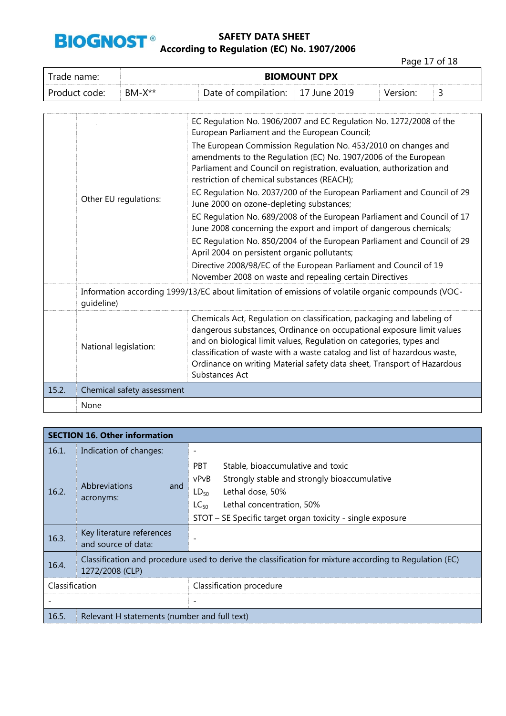

Page 17 of 18

| Trade name:   | <b>BIOMOUNT DPX</b> |                      |                          |          |   |
|---------------|---------------------|----------------------|--------------------------|----------|---|
| Product code: | $BM-X**$            | Date of compilation: | $\parallel$ 17 June 2019 | Version: | ٮ |

|       |                                                                                                                  | EC Regulation No. 1906/2007 and EC Regulation No. 1272/2008 of the<br>European Parliament and the European Council;                                                                                                                                                                                                                                                                              |  |
|-------|------------------------------------------------------------------------------------------------------------------|--------------------------------------------------------------------------------------------------------------------------------------------------------------------------------------------------------------------------------------------------------------------------------------------------------------------------------------------------------------------------------------------------|--|
|       | Other EU regulations:                                                                                            | The European Commission Regulation No. 453/2010 on changes and<br>amendments to the Regulation (EC) No. 1907/2006 of the European<br>Parliament and Council on registration, evaluation, authorization and<br>restriction of chemical substances (REACH);                                                                                                                                        |  |
|       |                                                                                                                  | EC Regulation No. 2037/200 of the European Parliament and Council of 29<br>June 2000 on ozone-depleting substances;                                                                                                                                                                                                                                                                              |  |
|       |                                                                                                                  | EC Regulation No. 689/2008 of the European Parliament and Council of 17<br>June 2008 concerning the export and import of dangerous chemicals;                                                                                                                                                                                                                                                    |  |
|       |                                                                                                                  | EC Regulation No. 850/2004 of the European Parliament and Council of 29<br>April 2004 on persistent organic pollutants;                                                                                                                                                                                                                                                                          |  |
|       |                                                                                                                  | Directive 2008/98/EC of the European Parliament and Council of 19<br>November 2008 on waste and repealing certain Directives                                                                                                                                                                                                                                                                     |  |
|       | Information according 1999/13/EC about limitation of emissions of volatile organic compounds (VOC-<br>quideline) |                                                                                                                                                                                                                                                                                                                                                                                                  |  |
|       | National legislation:                                                                                            | Chemicals Act, Regulation on classification, packaging and labeling of<br>dangerous substances, Ordinance on occupational exposure limit values<br>and on biological limit values, Regulation on categories, types and<br>classification of waste with a waste catalog and list of hazardous waste,<br>Ordinance on writing Material safety data sheet, Transport of Hazardous<br>Substances Act |  |
| 15.2. | Chemical safety assessment                                                                                       |                                                                                                                                                                                                                                                                                                                                                                                                  |  |
|       | None                                                                                                             |                                                                                                                                                                                                                                                                                                                                                                                                  |  |

|                | <b>SECTION 16. Other information</b>                                                                                       |                                                                                                                                                                                                                                                  |  |  |  |
|----------------|----------------------------------------------------------------------------------------------------------------------------|--------------------------------------------------------------------------------------------------------------------------------------------------------------------------------------------------------------------------------------------------|--|--|--|
| 16.1.          | Indication of changes:                                                                                                     |                                                                                                                                                                                                                                                  |  |  |  |
| 16.2.          | <b>Abbreviations</b><br>and<br>acronyms:                                                                                   | <b>PBT</b><br>Stable, bioaccumulative and toxic<br>Strongly stable and strongly bioaccumulative<br>vPvB<br>Lethal dose, 50%<br>$LD_{50}$<br>Lethal concentration, 50%<br>$LC_{50}$<br>STOT - SE Specific target organ toxicity - single exposure |  |  |  |
| 16.3.          | Key literature references<br>and source of data:                                                                           |                                                                                                                                                                                                                                                  |  |  |  |
| 16.4.          | Classification and procedure used to derive the classification for mixture according to Regulation (EC)<br>1272/2008 (CLP) |                                                                                                                                                                                                                                                  |  |  |  |
| Classification |                                                                                                                            | Classification procedure                                                                                                                                                                                                                         |  |  |  |
|                |                                                                                                                            |                                                                                                                                                                                                                                                  |  |  |  |
| 16.5.          | Relevant H statements (number and full text)                                                                               |                                                                                                                                                                                                                                                  |  |  |  |